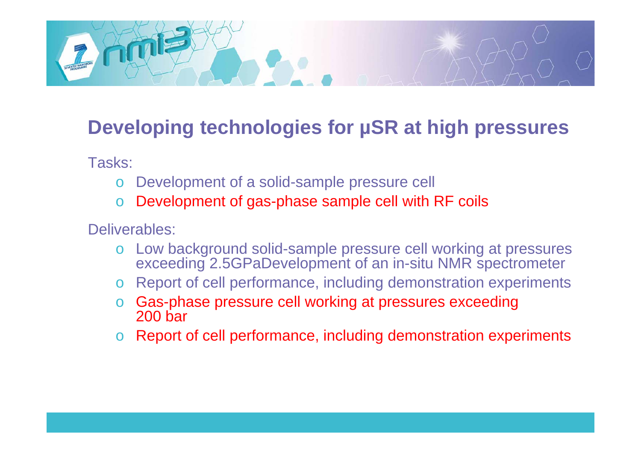

# **Developing technologies for µSR at high pressures SR**

Tasks:

- oDevelopment of a solid-sample pressure cell
- oDevelopment of gas-phase sample cell with RF coils

Deliverables:

- o Low background solid-sample pressure cell working at pressures exceeding 2.5GPaDevelopment of an in-situ NMR spectrometer
- o $\circ$  Report of cell performance, including demonstration experiments
- o Gas-phase pressure cell working at pressures exceeding 200 bar
- oReport of cell performance, including demonstration experiments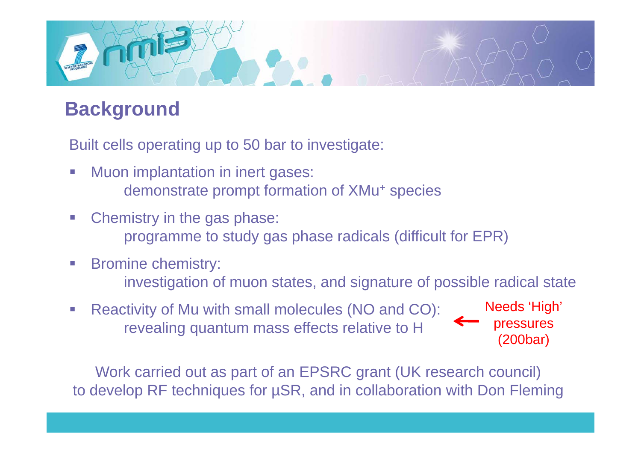

# **Background**

Built cells operating up to 50 bar to investigate:

- $\mathbb{R}^3$  Muon implantation in inert gases: demonstrate prompt formation of XMu+ species
- $\left\vert \cdot\right\vert$  Chemistry in the gas phase: programme to study gas phase radicals (difficult for EPR)
- $\mathbb{R}^3$  Bromine chemistry: investigation of muon states, and signature of possible radical state
- $\mathbb{R}^3$  Reactivity of Mu with small molecules (NO and CO): revealing quantum mass effects relative to H **Pressures**

Needs 'High' **pressures** (200bar)

Work carried out as part of an EPSRC grant (UK research council) to develop RF techniques for µSR, and in collaboration with Don Fleming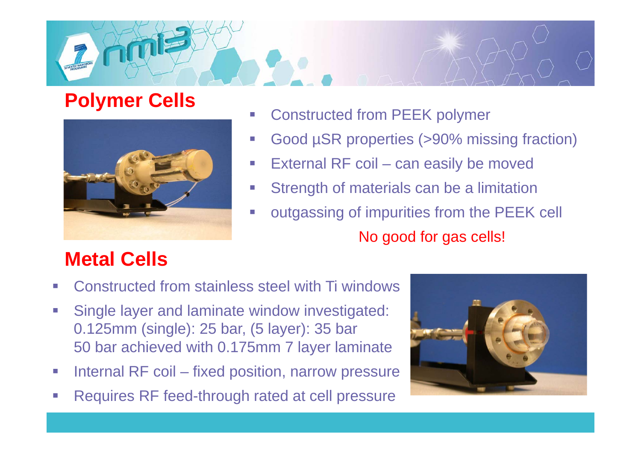

#### **Polymer Cells**



- $\overline{\phantom{a}}$ Constructed from PEEK polymer
- $\Box$ Good µSR properties (>90% missing fraction)
- $\overline{\phantom{a}}$ External RF coil – can easily be moved
- $\overline{\phantom{a}}$ Strength of materials can be a limitation
- $\overline{\mathbb{R}}$  outgassing of impurities from the PEEK cell No good for gas cells!

# **Metal Cells**

- Ξ Constructed from stainless steel with Ti windows
- $\mathbb{R}^3$  Single layer and laminate window investigated: 0.125mm (single): 25 bar, (5 layer): 35 bar 50 bar achieved with 0.175mm 7 layer laminate
- $\overline{\mathbb{R}^2}$ Internal RF coil – fixed position, narrow pressure
- $\overline{\phantom{a}}$ Requires RF feed-through rated at cell pressure

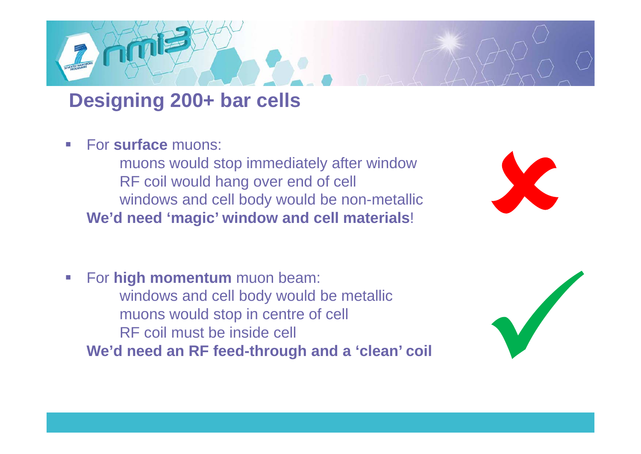#### **Designing 200+ bar cells**

 $\mathcal{L}_{\mathcal{A}}$ **For surface muons:** 

> muons would stop immediately after window RF coil would hang over end of cell windows and cell body would be non-metallic **We'd need 'magic' window and cell materials**!



 $\mathcal{L}_{\mathcal{A}}$  For **high momentum** muon beam: windows and cell body would be metallic muons would stop in centre of cell RF coil must be inside cell **We'd need an RF feed-through and a 'clean' coil**